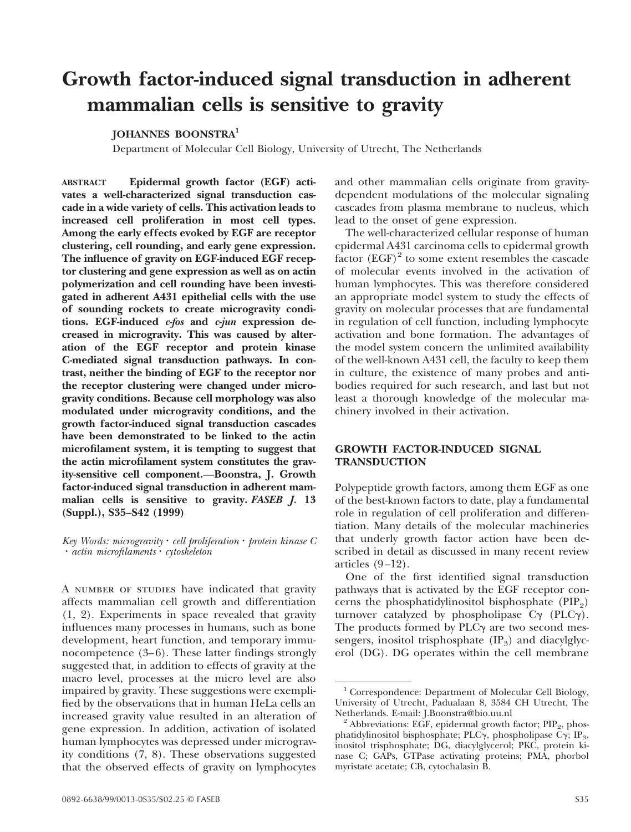# **Growth factor-induced signal transduction in adherent mammalian cells is sensitive to gravity**

### **JOHANNES BOONSTRA1**

Department of Molecular Cell Biology, University of Utrecht, The Netherlands

**ABSTRACT Epidermal growth factor (EGF) activates a well-characterized signal transduction cascade in a wide variety of cells. This activation leads to increased cell proliferation in most cell types. Among the early effects evoked by EGF are receptor clustering, cell rounding, and early gene expression. The influence of gravity on EGF-induced EGF receptor clustering and gene expression as well as on actin polymerization and cell rounding have been investigated in adherent A431 epithelial cells with the use of sounding rockets to create microgravity conditions. EGF-induced** *c-fos* **and** *c-jun* **expression decreased in microgravity. This was caused by alteration of the EGF receptor and protein kinase C-mediated signal transduction pathways. In contrast, neither the binding of EGF to the receptor nor the receptor clustering were changed under microgravity conditions. Because cell morphology was also modulated under microgravity conditions, and the growth factor-induced signal transduction cascades have been demonstrated to be linked to the actin microfilament system, it is tempting to suggest that the actin microfilament system constitutes the gravity-sensitive cell component.—Boonstra, J. Growth factor-induced signal transduction in adherent mammalian cells is sensitive to gravity.** *FASEB J.* **13 (Suppl.), S35–S42 (1999)**

#### $Key Words: microgravity \cdot cell proliferation \cdot protein kinase C$  $\cdot$  *actin microfilaments*  $\cdot$  *cytoskeleton*

A NUMBER OF STUDIES have indicated that gravity affects mammalian cell growth and differentiation (1, 2). Experiments in space revealed that gravity influences many processes in humans, such as bone development, heart function, and temporary immunocompetence (3–6). These latter findings strongly suggested that, in addition to effects of gravity at the macro level, processes at the micro level are also impaired by gravity. These suggestions were exemplified by the observations that in human HeLa cells an increased gravity value resulted in an alteration of gene expression. In addition, activation of isolated human lymphocytes was depressed under microgravity conditions (7, 8). These observations suggested that the observed effects of gravity on lymphocytes and other mammalian cells originate from gravitydependent modulations of the molecular signaling cascades from plasma membrane to nucleus, which lead to the onset of gene expression.

The well-characterized cellular response of human epidermal A431 carcinoma cells to epidermal growth factor  $(EGF)^2$  to some extent resembles the cascade of molecular events involved in the activation of human lymphocytes. This was therefore considered an appropriate model system to study the effects of gravity on molecular processes that are fundamental in regulation of cell function, including lymphocyte activation and bone formation. The advantages of the model system concern the unlimited availability of the well-known A431 cell, the faculty to keep them in culture, the existence of many probes and antibodies required for such research, and last but not least a thorough knowledge of the molecular machinery involved in their activation.

## **GROWTH FACTOR-INDUCED SIGNAL TRANSDUCTION**

Polypeptide growth factors, among them EGF as one of the best-known factors to date, play a fundamental role in regulation of cell proliferation and differentiation. Many details of the molecular machineries that underly growth factor action have been described in detail as discussed in many recent review articles (9–12).

One of the first identified signal transduction pathways that is activated by the EGF receptor concerns the phosphatidylinositol bisphosphate  $(PIP<sub>2</sub>)$ turnover catalyzed by phospholipase  $C\gamma$  (PLC $\gamma$ ). The products formed by  $PLC\gamma$  are two second messengers, inositol trisphosphate  $(\text{IP}_3)$  and diacylglycerol (DG). DG operates within the cell membrane

<sup>&</sup>lt;sup>1</sup> Correspondence: Department of Molecular Cell Biology, University of Utrecht, Padualaan 8, 3584 CH Utrecht, The

<sup>&</sup>lt;sup>2</sup> Abbreviations: EGF, epidermal growth factor;  $\text{PIP}_2$ , phosphatidylinositol bisphosphate; PLC $\gamma$ , phospholipase C $\gamma$ ; IP<sub>3</sub>, inositol trisphosphate; DG, diacylglycerol; PKC, protein kinase C; GAPs, GTPase activating proteins; PMA, phorbol myristate acetate; CB, cytochalasin B.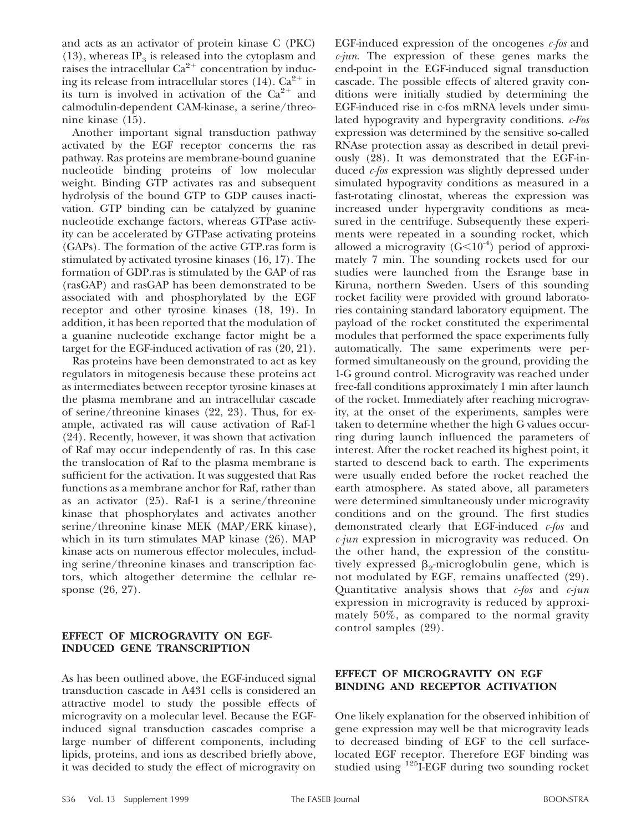and acts as an activator of protein kinase C (PKC)  $(13)$ , whereas IP<sub>3</sub> is released into the cytoplasm and raises the intracellular  $Ca^{2+}$  concentration by inducing its release from intracellular stores (14).  $Ca^{2+}$  in its turn is involved in activation of the  $Ca^{2+}$  and calmodulin-dependent CAM-kinase, a serine/threonine kinase (15).

Another important signal transduction pathway activated by the EGF receptor concerns the ras pathway. Ras proteins are membrane-bound guanine nucleotide binding proteins of low molecular weight. Binding GTP activates ras and subsequent hydrolysis of the bound GTP to GDP causes inactivation. GTP binding can be catalyzed by guanine nucleotide exchange factors, whereas GTPase activity can be accelerated by GTPase activating proteins (GAPs). The formation of the active GTP.ras form is stimulated by activated tyrosine kinases (16, 17). The formation of GDP.ras is stimulated by the GAP of ras (rasGAP) and rasGAP has been demonstrated to be associated with and phosphorylated by the EGF receptor and other tyrosine kinases (18, 19). In addition, it has been reported that the modulation of a guanine nucleotide exchange factor might be a target for the EGF-induced activation of ras (20, 21).

Ras proteins have been demonstrated to act as key regulators in mitogenesis because these proteins act as intermediates between receptor tyrosine kinases at the plasma membrane and an intracellular cascade of serine/threonine kinases (22, 23). Thus, for example, activated ras will cause activation of Raf-1 (24). Recently, however, it was shown that activation of Raf may occur independently of ras. In this case the translocation of Raf to the plasma membrane is sufficient for the activation. It was suggested that Ras functions as a membrane anchor for Raf, rather than as an activator (25). Raf-1 is a serine/threonine kinase that phosphorylates and activates another serine/threonine kinase MEK (MAP/ERK kinase), which in its turn stimulates MAP kinase (26). MAP kinase acts on numerous effector molecules, including serine/threonine kinases and transcription factors, which altogether determine the cellular response (26, 27).

## **EFFECT OF MICROGRAVITY ON EGF-INDUCED GENE TRANSCRIPTION**

As has been outlined above, the EGF-induced signal transduction cascade in A431 cells is considered an attractive model to study the possible effects of microgravity on a molecular level. Because the EGFinduced signal transduction cascades comprise a large number of different components, including lipids, proteins, and ions as described briefly above, it was decided to study the effect of microgravity on

EGF-induced expression of the oncogenes *c-fos* and *c-jun*. The expression of these genes marks the end-point in the EGF-induced signal transduction cascade. The possible effects of altered gravity conditions were initially studied by determining the EGF-induced rise in c-fos mRNA levels under simulated hypogravity and hypergravity conditions. *c-Fos* expression was determined by the sensitive so-called RNAse protection assay as described in detail previously (28). It was demonstrated that the EGF-induced *c-fos* expression was slightly depressed under simulated hypogravity conditions as measured in a fast-rotating clinostat, whereas the expression was increased under hypergravity conditions as measured in the centrifuge. Subsequently these experiments were repeated in a sounding rocket, which allowed a microgravity  $(G<10<sup>-4</sup>)$  period of approximately 7 min. The sounding rockets used for our studies were launched from the Esrange base in Kiruna, northern Sweden. Users of this sounding rocket facility were provided with ground laboratories containing standard laboratory equipment. The payload of the rocket constituted the experimental modules that performed the space experiments fully automatically. The same experiments were performed simultaneously on the ground, providing the 1-G ground control. Microgravity was reached under free-fall conditions approximately 1 min after launch of the rocket. Immediately after reaching microgravity, at the onset of the experiments, samples were taken to determine whether the high G values occurring during launch influenced the parameters of interest. After the rocket reached its highest point, it started to descend back to earth. The experiments were usually ended before the rocket reached the earth atmosphere. As stated above, all parameters were determined simultaneously under microgravity conditions and on the ground. The first studies demonstrated clearly that EGF-induced *c-fos* and *c-jun* expression in microgravity was reduced. On the other hand, the expression of the constitutively expressed  $\beta_2$ -microglobulin gene, which is not modulated by EGF, remains unaffected (29). Quantitative analysis shows that *c-fos* and *c-jun* expression in microgravity is reduced by approximately 50%, as compared to the normal gravity control samples (29).

## **EFFECT OF MICROGRAVITY ON EGF BINDING AND RECEPTOR ACTIVATION**

One likely explanation for the observed inhibition of gene expression may well be that microgravity leads to decreased binding of EGF to the cell surfacelocated EGF receptor. Therefore EGF binding was studied using  $^{125}$ I-EGF during two sounding rocket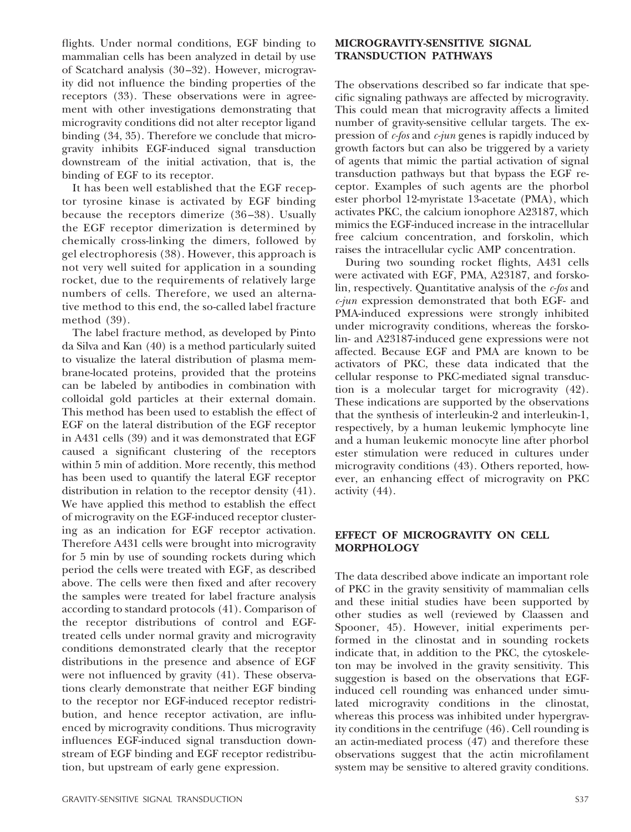flights. Under normal conditions, EGF binding to mammalian cells has been analyzed in detail by use of Scatchard analysis (30–32). However, microgravity did not influence the binding properties of the receptors (33). These observations were in agreement with other investigations demonstrating that microgravity conditions did not alter receptor ligand binding (34, 35). Therefore we conclude that microgravity inhibits EGF-induced signal transduction downstream of the initial activation, that is, the binding of EGF to its receptor.

It has been well established that the EGF receptor tyrosine kinase is activated by EGF binding because the receptors dimerize (36–38). Usually the EGF receptor dimerization is determined by chemically cross-linking the dimers, followed by gel electrophoresis (38). However, this approach is not very well suited for application in a sounding rocket, due to the requirements of relatively large numbers of cells. Therefore, we used an alternative method to this end, the so-called label fracture method (39).

The label fracture method, as developed by Pinto da Silva and Kan (40) is a method particularly suited to visualize the lateral distribution of plasma membrane-located proteins, provided that the proteins can be labeled by antibodies in combination with colloidal gold particles at their external domain. This method has been used to establish the effect of EGF on the lateral distribution of the EGF receptor in A431 cells (39) and it was demonstrated that EGF caused a significant clustering of the receptors within 5 min of addition. More recently, this method has been used to quantify the lateral EGF receptor distribution in relation to the receptor density (41). We have applied this method to establish the effect of microgravity on the EGF-induced receptor clustering as an indication for EGF receptor activation. Therefore A431 cells were brought into microgravity for 5 min by use of sounding rockets during which period the cells were treated with EGF, as described above. The cells were then fixed and after recovery the samples were treated for label fracture analysis according to standard protocols (41). Comparison of the receptor distributions of control and EGFtreated cells under normal gravity and microgravity conditions demonstrated clearly that the receptor distributions in the presence and absence of EGF were not influenced by gravity (41). These observations clearly demonstrate that neither EGF binding to the receptor nor EGF-induced receptor redistribution, and hence receptor activation, are influenced by microgravity conditions. Thus microgravity influences EGF-induced signal transduction downstream of EGF binding and EGF receptor redistribution, but upstream of early gene expression.

## **MICROGRAVITY-SENSITIVE SIGNAL TRANSDUCTION PATHWAYS**

The observations described so far indicate that specific signaling pathways are affected by microgravity. This could mean that microgravity affects a limited number of gravity-sensitive cellular targets. The expression of *c-fos* and *c-jun* genes is rapidly induced by growth factors but can also be triggered by a variety of agents that mimic the partial activation of signal transduction pathways but that bypass the EGF receptor. Examples of such agents are the phorbol ester phorbol 12-myristate 13-acetate (PMA), which activates PKC, the calcium ionophore A23187, which mimics the EGF-induced increase in the intracellular free calcium concentration, and forskolin, which raises the intracellular cyclic AMP concentration.

During two sounding rocket flights, A431 cells were activated with EGF, PMA, A23187, and forskolin, respectively. Quantitative analysis of the *c-fos* and *c-jun* expression demonstrated that both EGF- and PMA-induced expressions were strongly inhibited under microgravity conditions, whereas the forskolin- and A23187-induced gene expressions were not affected. Because EGF and PMA are known to be activators of PKC, these data indicated that the cellular response to PKC-mediated signal transduction is a molecular target for microgravity (42). These indications are supported by the observations that the synthesis of interleukin-2 and interleukin-1, respectively, by a human leukemic lymphocyte line and a human leukemic monocyte line after phorbol ester stimulation were reduced in cultures under microgravity conditions (43). Others reported, however, an enhancing effect of microgravity on PKC activity (44).

# **EFFECT OF MICROGRAVITY ON CELL MORPHOLOGY**

The data described above indicate an important role of PKC in the gravity sensitivity of mammalian cells and these initial studies have been supported by other studies as well (reviewed by Claassen and Spooner, 45). However, initial experiments performed in the clinostat and in sounding rockets indicate that, in addition to the PKC, the cytoskeleton may be involved in the gravity sensitivity. This suggestion is based on the observations that EGFinduced cell rounding was enhanced under simulated microgravity conditions in the clinostat, whereas this process was inhibited under hypergravity conditions in the centrifuge (46). Cell rounding is an actin-mediated process (47) and therefore these observations suggest that the actin microfilament system may be sensitive to altered gravity conditions.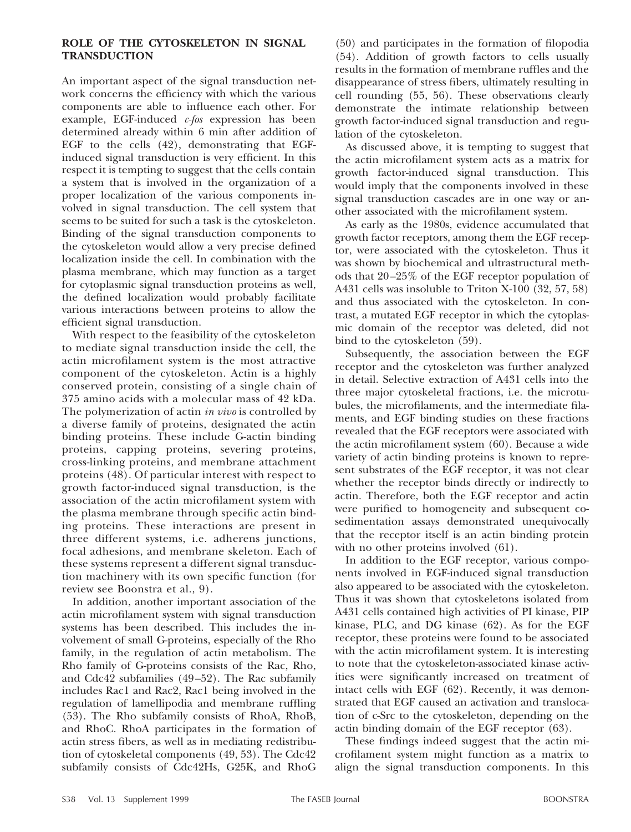## **ROLE OF THE CYTOSKELETON IN SIGNAL TRANSDUCTION**

An important aspect of the signal transduction network concerns the efficiency with which the various components are able to influence each other. For example, EGF-induced *c-fos* expression has been determined already within 6 min after addition of EGF to the cells (42), demonstrating that EGFinduced signal transduction is very efficient. In this respect it is tempting to suggest that the cells contain a system that is involved in the organization of a proper localization of the various components involved in signal transduction. The cell system that seems to be suited for such a task is the cytoskeleton. Binding of the signal transduction components to the cytoskeleton would allow a very precise defined localization inside the cell. In combination with the plasma membrane, which may function as a target for cytoplasmic signal transduction proteins as well, the defined localization would probably facilitate various interactions between proteins to allow the efficient signal transduction.

With respect to the feasibility of the cytoskeleton to mediate signal transduction inside the cell, the actin microfilament system is the most attractive component of the cytoskeleton. Actin is a highly conserved protein, consisting of a single chain of 375 amino acids with a molecular mass of 42 kDa. The polymerization of actin *in vivo* is controlled by a diverse family of proteins, designated the actin binding proteins. These include G-actin binding proteins, capping proteins, severing proteins, cross-linking proteins, and membrane attachment proteins (48). Of particular interest with respect to growth factor-induced signal transduction, is the association of the actin microfilament system with the plasma membrane through specific actin binding proteins. These interactions are present in three different systems, i.e. adherens junctions, focal adhesions, and membrane skeleton. Each of these systems represent a different signal transduction machinery with its own specific function (for review see Boonstra et al., 9).

In addition, another important association of the actin microfilament system with signal transduction systems has been described. This includes the involvement of small G-proteins, especially of the Rho family, in the regulation of actin metabolism. The Rho family of G-proteins consists of the Rac, Rho, and Cdc42 subfamilies (49–52). The Rac subfamily includes Rac1 and Rac2, Rac1 being involved in the regulation of lamellipodia and membrane ruffling (53). The Rho subfamily consists of RhoA, RhoB, and RhoC. RhoA participates in the formation of actin stress fibers, as well as in mediating redistribution of cytoskeletal components (49, 53). The Cdc42 subfamily consists of Cdc42Hs, G25K, and RhoG

(50) and participates in the formation of filopodia (54). Addition of growth factors to cells usually results in the formation of membrane ruffles and the disappearance of stress fibers, ultimately resulting in cell rounding (55, 56). These observations clearly demonstrate the intimate relationship between growth factor-induced signal transduction and regulation of the cytoskeleton.

As discussed above, it is tempting to suggest that the actin microfilament system acts as a matrix for growth factor-induced signal transduction. This would imply that the components involved in these signal transduction cascades are in one way or another associated with the microfilament system.

As early as the 1980s, evidence accumulated that growth factor receptors, among them the EGF receptor, were associated with the cytoskeleton. Thus it was shown by biochemical and ultrastructural methods that 20–25% of the EGF receptor population of A431 cells was insoluble to Triton X-100 (32, 57, 58) and thus associated with the cytoskeleton. In contrast, a mutated EGF receptor in which the cytoplasmic domain of the receptor was deleted, did not bind to the cytoskeleton (59).

Subsequently, the association between the EGF receptor and the cytoskeleton was further analyzed in detail. Selective extraction of A431 cells into the three major cytoskeletal fractions, i.e. the microtubules, the microfilaments, and the intermediate filaments, and EGF binding studies on these fractions revealed that the EGF receptors were associated with the actin microfilament system (60). Because a wide variety of actin binding proteins is known to represent substrates of the EGF receptor, it was not clear whether the receptor binds directly or indirectly to actin. Therefore, both the EGF receptor and actin were purified to homogeneity and subsequent cosedimentation assays demonstrated unequivocally that the receptor itself is an actin binding protein with no other proteins involved  $(61)$ .

In addition to the EGF receptor, various components involved in EGF-induced signal transduction also appeared to be associated with the cytoskeleton. Thus it was shown that cytoskeletons isolated from A431 cells contained high activities of PI kinase, PIP kinase, PLC, and DG kinase (62). As for the EGF receptor, these proteins were found to be associated with the actin microfilament system. It is interesting to note that the cytoskeleton-associated kinase activities were significantly increased on treatment of intact cells with EGF (62). Recently, it was demonstrated that EGF caused an activation and translocation of c-Src to the cytoskeleton, depending on the actin binding domain of the EGF receptor (63).

These findings indeed suggest that the actin microfilament system might function as a matrix to align the signal transduction components. In this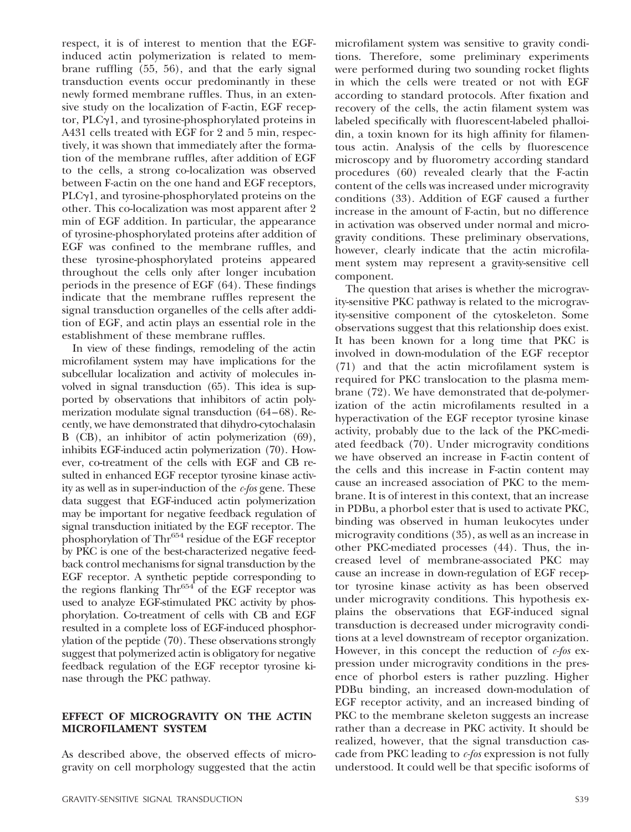respect, it is of interest to mention that the EGFinduced actin polymerization is related to membrane ruffling (55, 56), and that the early signal transduction events occur predominantly in these newly formed membrane ruffles. Thus, in an extensive study on the localization of F-actin, EGF receptor,  $PLCyl$ , and tyrosine-phosphorylated proteins in A431 cells treated with EGF for 2 and 5 min, respectively, it was shown that immediately after the formation of the membrane ruffles, after addition of EGF to the cells, a strong co-localization was observed between F-actin on the one hand and EGF receptors,  $PLCyl$ , and tyrosine-phosphorylated proteins on the other. This co-localization was most apparent after 2 min of EGF addition. In particular, the appearance of tyrosine-phosphorylated proteins after addition of EGF was confined to the membrane ruffles, and these tyrosine-phosphorylated proteins appeared throughout the cells only after longer incubation periods in the presence of EGF (64). These findings indicate that the membrane ruffles represent the signal transduction organelles of the cells after addition of EGF, and actin plays an essential role in the establishment of these membrane ruffles.

In view of these findings, remodeling of the actin microfilament system may have implications for the subcellular localization and activity of molecules involved in signal transduction (65). This idea is supported by observations that inhibitors of actin polymerization modulate signal transduction (64–68). Recently, we have demonstrated that dihydro-cytochalasin B (CB), an inhibitor of actin polymerization (69), inhibits EGF-induced actin polymerization (70). However, co-treatment of the cells with EGF and CB resulted in enhanced EGF receptor tyrosine kinase activity as well as in super-induction of the *c-fos* gene. These data suggest that EGF-induced actin polymerization may be important for negative feedback regulation of signal transduction initiated by the EGF receptor. The phosphorylation of  $\text{Thr}^{654}$  residue of the EGF receptor by PKC is one of the best-characterized negative feedback control mechanisms for signal transduction by the EGF receptor. A synthetic peptide corresponding to the regions flanking  $\text{Thr}^{654}$  of the EGF receptor was used to analyze EGF-stimulated PKC activity by phosphorylation. Co-treatment of cells with CB and EGF resulted in a complete loss of EGF-induced phosphorylation of the peptide (70). These observations strongly suggest that polymerized actin is obligatory for negative feedback regulation of the EGF receptor tyrosine kinase through the PKC pathway.

### **EFFECT OF MICROGRAVITY ON THE ACTIN MICROFILAMENT SYSTEM**

As described above, the observed effects of microgravity on cell morphology suggested that the actin

microfilament system was sensitive to gravity conditions. Therefore, some preliminary experiments were performed during two sounding rocket flights in which the cells were treated or not with EGF according to standard protocols. After fixation and recovery of the cells, the actin filament system was labeled specifically with fluorescent-labeled phalloidin, a toxin known for its high affinity for filamentous actin. Analysis of the cells by fluorescence microscopy and by fluorometry according standard procedures (60) revealed clearly that the F-actin content of the cells was increased under microgravity conditions (33). Addition of EGF caused a further increase in the amount of F-actin, but no difference in activation was observed under normal and microgravity conditions. These preliminary observations, however, clearly indicate that the actin microfilament system may represent a gravity-sensitive cell component.

The question that arises is whether the microgravity-sensitive PKC pathway is related to the microgravity-sensitive component of the cytoskeleton. Some observations suggest that this relationship does exist. It has been known for a long time that PKC is involved in down-modulation of the EGF receptor (71) and that the actin microfilament system is required for PKC translocation to the plasma membrane (72). We have demonstrated that de-polymerization of the actin microfilaments resulted in a hyperactivation of the EGF receptor tyrosine kinase activity, probably due to the lack of the PKC-mediated feedback (70). Under microgravity conditions we have observed an increase in F-actin content of the cells and this increase in F-actin content may cause an increased association of PKC to the membrane. It is of interest in this context, that an increase in PDBu, a phorbol ester that is used to activate PKC, binding was observed in human leukocytes under microgravity conditions (35), as well as an increase in other PKC-mediated processes (44). Thus, the increased level of membrane-associated PKC may cause an increase in down-regulation of EGF receptor tyrosine kinase activity as has been observed under microgravity conditions. This hypothesis explains the observations that EGF-induced signal transduction is decreased under microgravity conditions at a level downstream of receptor organization. However, in this concept the reduction of *c-fos* expression under microgravity conditions in the presence of phorbol esters is rather puzzling. Higher PDBu binding, an increased down-modulation of EGF receptor activity, and an increased binding of PKC to the membrane skeleton suggests an increase rather than a decrease in PKC activity. It should be realized, however, that the signal transduction cascade from PKC leading to *c-fos* expression is not fully understood. It could well be that specific isoforms of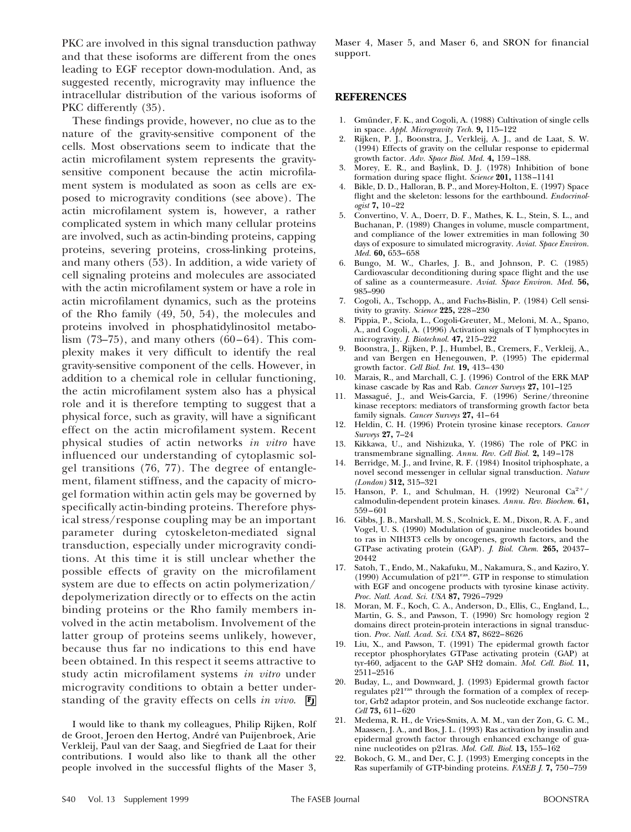PKC are involved in this signal transduction pathway and that these isoforms are different from the ones leading to EGF receptor down-modulation. And, as suggested recently, microgravity may influence the intracellular distribution of the various isoforms of PKC differently (35).

These findings provide, however, no clue as to the nature of the gravity-sensitive component of the cells. Most observations seem to indicate that the actin microfilament system represents the gravitysensitive component because the actin microfilament system is modulated as soon as cells are exposed to microgravity conditions (see above). The actin microfilament system is, however, a rather complicated system in which many cellular proteins are involved, such as actin-binding proteins, capping proteins, severing proteins, cross-linking proteins, and many others (53). In addition, a wide variety of cell signaling proteins and molecules are associated with the actin microfilament system or have a role in actin microfilament dynamics, such as the proteins of the Rho family (49, 50, 54), the molecules and proteins involved in phosphatidylinositol metabolism  $(73-75)$ , and many others  $(60-64)$ . This complexity makes it very difficult to identify the real gravity-sensitive component of the cells. However, in addition to a chemical role in cellular functioning, the actin microfilament system also has a physical role and it is therefore tempting to suggest that a physical force, such as gravity, will have a significant effect on the actin microfilament system. Recent physical studies of actin networks *in vitro* have influenced our understanding of cytoplasmic solgel transitions (76, 77). The degree of entanglement, filament stiffness, and the capacity of microgel formation within actin gels may be governed by specifically actin-binding proteins. Therefore physical stress/response coupling may be an important parameter during cytoskeleton-mediated signal transduction, especially under microgravity conditions. At this time it is still unclear whether the possible effects of gravity on the microfilament system are due to effects on actin polymerization/ depolymerization directly or to effects on the actin binding proteins or the Rho family members involved in the actin metabolism. Involvement of the latter group of proteins seems unlikely, however, because thus far no indications to this end have been obtained. In this respect it seems attractive to study actin microfilament systems *in vitro* under microgravity conditions to obtain a better understanding of the gravity effects on cells *in vivo*.

I would like to thank my colleagues, Philip Rijken, Rolf de Groot, Jeroen den Hertog, André van Puijenbroek, Arie Verkleij, Paul van der Saag, and Siegfried de Laat for their contributions. I would also like to thank all the other people involved in the successful flights of the Maser 3, Maser 4, Maser 5, and Maser 6, and SRON for financial support.

#### **REFERENCES**

- 1. Gmünder, F. K., and Cogoli, A. (1988) Cultivation of single cells in space. *Appl. Microgravity Tech.* **9,** 115–122
- 2. Rijken, P. J., Boonstra, J., Verkleij, A. J., and de Laat, S. W. (1994) Effects of gravity on the cellular response to epidermal growth factor. *Adv. Space Biol. Med.* **4,** 159–188.
- 3. Morey, E. R., and Baylink, D. J. (1978) Inhibition of bone formation during space flight. *Science* **201,** 1138–1141
- 4. Bikle, D. D., Halloran, B. P., and Morey-Holton, E. (1997) Space flight and the skeleton: lessons for the earthbound. *Endocrinologist* **7,** 10–22
- 5. Convertino, V. A., Doerr, D. F., Mathes, K. L., Stein, S. L., and Buchanan, P. (1989) Changes in volume, muscle compartment, and compliance of the lower extremities in man following 30 days of exposure to simulated microgravity. *Aviat. Space Environ. Med.* **60,** 653–658
- 6. Bungo, M. W., Charles, J. B., and Johnson, P. C. (1985) Cardiovascular deconditioning during space flight and the use of saline as a countermeasure. *Aviat. Space Environ. Med.* **56,** 985–990
- 7. Cogoli, A., Tschopp, A., and Fuchs-Bislin, P. (1984) Cell sensitivity to gravity. *Science* **225,** 228–230
- 8. Pippia, P., Sciola, L., Cogoli-Greuter, M., Meloni, M. A., Spano, A., and Cogoli, A. (1996) Activation signals of T lymphocytes in microgravity. *J. Biotechnol.* **47,** 215–222
- 9. Boonstra, J., Rijken, P. J., Humbel, B., Cremers, F., Verkleij, A., and van Bergen en Henegouwen, P. (1995) The epidermal growth factor. *Cell Biol. Int.* **19,** 413–430
- 10. Marais, R., and Marchall, C. J. (1996) Control of the ERK MAP kinase cascade by Ras and Rab. *Cancer Surveys* **27,** 101–125
- 11. Massagué, J., and Weis-Garcia, F. (1996) Serine/threonine kinase receptors: mediators of transforming growth factor beta family signals. *Cancer Surveys* **27,** 41–64
- 12. Heldin, C. H. (1996) Protein tyrosine kinase receptors. *Cancer Surveys* **27,** 7–24
- 13. Kikkawa, U., and Nishizuka, Y. (1986) The role of PKC in transmembrane signalling. *Annu. Rev. Cell Biol.* **2,** 149–178
- 14. Berridge, M. J., and Irvine, R. F. (1984) Inositol triphosphate, a novel second messenger in cellular signal transduction. *Nature (London)* **312,** 315–321
- 15. Hanson, P. I., and Schulman, H. (1992) Neuronal  $Ca^{2+}/$ calmodulin-dependent protein kinases. *Annu. Rev. Biochem.* **61,** 559–601
- 16. Gibbs, J. B., Marshall, M. S., Scolnick, E. M., Dixon, R. A. F., and Vogel, U. S. (1990) Modulation of guanine nucleotides bound to ras in NIH3T3 cells by oncogenes, growth factors, and the GTPase activating protein (GAP). *J. Biol. Chem.* **265,** 20437– 20442
- 17. Satoh, T., Endo, M., Nakafuku, M., Nakamura, S., and Kaziro, Y.<br>(1990) Accumulation of p21<sup>ras</sup>. GTP in response to stimulation with EGF and oncogene products with tyrosine kinase activity. *Proc. Natl. Acad. Sci. USA* **87,** 7926–7929
- 18. Moran, M. F., Koch, C. A., Anderson, D., Ellis, C., England, L., Martin, G. S., and Pawson, T. (1990) Src homology region 2 domains direct protein-protein interactions in signal transduction. *Proc. Natl. Acad. Sci. USA* **87,** 8622–8626
- 19. Liu, X., and Pawson, T. (1991) The epidermal growth factor receptor phosphorylates GTPase activating protein (GAP) at tyr-460, adjacent to the GAP SH2 domain. *Mol. Cell. Biol.* **11,** 2511–2516
- 20. Buday, L., and Downward, J. (1993) Epidermal growth factor regulates p21ras through the formation of a complex of receptor, Grb2 adaptor protein, and Sos nucleotide exchange factor. *Cell* **73,** 611–620
- 21. Medema, R. H., de Vries-Smits, A. M. M., van der Zon, G. C. M., Maassen, J. A., and Bos, J. L. (1993) Ras activation by insulin and epidermal growth factor through enhanced exchange of guanine nucleotides on p21ras. *Mol. Cell. Biol.* **13,** 155–162
- 22. Bokoch, G. M., and Der, C. J. (1993) Emerging concepts in the Ras superfamily of GTP-binding proteins. *FASEB J.* **7,** 750–759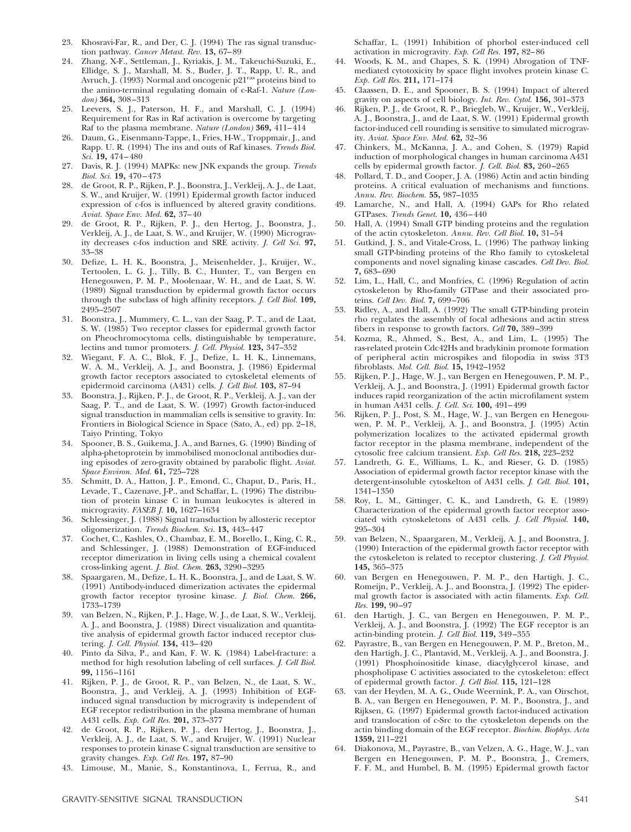- 23. Khosravi-Far, R., and Der, C. J. (1994) The ras signal transduction pathway. *Cancer Metast. Rev.* **13,** 67–89
- 24. Zhang, X-F., Settleman, J., Kyriakis, J. M., Takeuchi-Suzuki, E., Ellidge, S. J., Marshall, M. S., Buder, J. T., Rapp, U. R., and Avruch, J. (1993) Normal and oncogenic p21<sup>ras</sup> proteins bind to the amino-terminal regulating domain of c-Raf-1. *Nature (London)* **364,** 308–313
- 25. Leevers, S. J., Paterson, H. F., and Marshall, C. J. (1994) Requirement for Ras in Raf activation is overcome by targeting Raf to the plasma membrane. *Nature (London)* **369,** 411–414
- 26. Daum, G., Eisenmann-Tappe, I., Fries, H-W., Troppmair, J., and Rapp. U. R. (1994) The ins and outs of Raf kinases. *Trends Biol. Sci.* **19,** 474–480
- 27. Davis, R. J. (1994) MAPKs: new JNK expands the group. *Trends Biol. Sci.* **19,** 470–473
- de Groot, R. P., Rijken, P. J., Boonstra, J., Verkleij, A. J., de Laat, S. W., and Kruijer, W. (1991) Epidermal growth factor induced expression of c-fos is influenced by altered gravity conditions. *Aviat. Space Env. Med.* **62,** 37–40
- 29. de Groot, R. P., Rijken, P. J., den Hertog, J., Boonstra, J., Verkleij, A. J., de Laat, S. W., and Kruijer, W. (1990) Microgravity decreases c-fos induction and SRE activity. *J. Cell Sci.* **97,** 33–38
- 30. Defize, L. H. K., Boonstra, J., Meisenhelder, J., Kruijer, W., Tertoolen, L. G. J., Tilly, B. C., Hunter, T., van Bergen en Henegouwen, P. M. P., Moolenaar, W. H., and de Laat, S. W. (1989) Signal transduction by epidermal growth factor occurs through the subclass of high affinity receptors. *J. Cell Biol.* **109,** 2495–2507
- 31. Boonstra, J., Mummery, C. L., van der Saag, P. T., and de Laat, S. W. (1985) Two receptor classes for epidermal growth factor on Pheochromocytoma cells, distinguishable by temperature, lectins and tumor promoters. *J. Cell. Physiol.* **123,** 347–352
- 32. Wiegant, F. A. C., Blok, F. J., Defize, L. H. K., Linnemans, W. A. M., Verkleij, A. J., and Boonstra, J. (1986) Epidermal growth factor receptors associated to cytoskeletal elements of epidermoid carcinoma (A431) cells. *J. Cell Biol.* **103,** 87–94
- 33. Boonstra, J., Rijken, P. J., de Groot, R. P., Verkleij, A. J., van der Saag, P. T., and de Laat, S. W. (1997) Growth factor-induced signal transduction in mammalian cells is sensitive to gravity. In: Frontiers in Biological Science in Space (Sato, A., ed) pp. 2–18, Taiyo Printing, Tokyo
- 34. Spooner, B. S., Guikema, J. A., and Barnes, G. (1990) Binding of alpha-phetoprotein by immobilised monoclonal antibodies during episodes of zero-gravity obtained by parabolic flight. *Aviat. Space Environ. Med.* **61,** 725–728
- 35. Schmitt, D. A., Hatton, J. P., Emond, C., Chaput, D., Paris, H., Levade, T., Cazenave, J-P., and Schaffar, L. (1996) The distribution of protein kinase C in human leukocytes is altered in microgravity. *FASEB J.* **10,** 1627–1634
- 36. Schlessinger, J. (1988) Signal transduction by allosteric receptor oligomerization. *Trends Biochem. Sci.* **13,** 443–447
- 37. Cochet, C., Kashles, O., Chambaz, E. M., Borello, I., King, C. R., and Schlessinger, J. (1988) Demonstration of EGF-induced receptor dimerization in living cells using a chemical covalent cross-linking agent. *J. Biol. Chem.* **263,** 3290–3295
- 38. Spaargaren, M., Defize, L. H. K., Boonstra, J., and de Laat, S. W. (1991) Antibody-induced dimerization activates the epidermal growth factor receptor tyrosine kinase. *J. Biol. Chem.* **266,** 1733–1739
- 39. van Belzen, N., Rijken, P. J., Hage, W. J., de Laat, S. W., Verkleij, A. J., and Boonstra, J. (1988) Direct visualization and quantitative analysis of epidermal growth factor induced receptor clustering. *J. Cell. Physiol.* **134,** 413–420
- 40. Pinto da Silva, P., and Kan, F. W. K. (1984) Label-fracture: a method for high resolution labeling of cell surfaces. *J. Cell Biol.* **99,** 1156–1161
- 41. Rijken, P. J., de Groot, R. P., van Belzen, N., de Laat, S. W., Boonstra, J., and Verkleij, A. J. (1993) Inhibition of EGFinduced signal transduction by microgravity is independent of EGF receptor redistribution in the plasma membrane of human A431 cells. *Exp. Cell Res.* **201,** 373–377
- 42. de Groot, R. P., Rijken, P. J., den Hertog, J., Boonstra, J., Verkleij, A. J., de Laat, S. W., and Kruijer, W. (1991) Nuclear responses to protein kinase C signal transduction are sensitive to gravity changes. *Exp. Cell Res.* **197,** 87–90
- 43. Limouse, M., Manie, S., Konstantinova, I., Ferrua, R., and

Schaffar, L. (1991) Inhibition of phorbol ester-induced cell activation in microgravity. *Exp. Cell Res.* **197,** 82–86

- 44. Woods, K. M., and Chapes, S. K. (1994) Abrogation of TNFmediated cytotoxicity by space flight involves protein kinase C. *Exp. Cell Res.* **211,** 171–174
- 45. Claassen, D. E., and Spooner, B. S. (1994) Impact of altered gravity on aspects of cell biology. *Int. Rev. Cytol.* **156,** 301–373
- 46. Rijken, P. J., de Groot, R. P., Briegleb, W., Kruijer, W., Verkleij, A. J., Boonstra, J., and de Laat, S. W. (1991) Epidermal growth factor-induced cell rounding is sensitive to simulated microgravity. *Aviat. Space Env. Med.* **62,** 32–36
- 47. Chinkers, M., McKanna, J. A., and Cohen, S. (1979) Rapid induction of morphological changes in human carcinoma A431 cells by epidermal growth factor. *J. Cell. Biol.* **83,** 260–265
- 48. Pollard, T. D., and Cooper, J. A. (1986) Actin and actin binding proteins. A critical evaluation of mechanisms and functions. *Annu. Rev. Biochem.* **55,** 987–1035
- 49. Lamarche, N., and Hall, A. (1994) GAPs for Rho related GTPases. *Trends Genet.* **10,** 436–440
- 50. Hall, A. (1994) Small GTP binding proteins and the regulation of the actin cytoskeleton. *Annu. Rev. Cell Biol.* **10,** 31–54
- 51. Gutkind, J. S., and Vitale-Cross, L. (1996) The pathway linking small GTP-binding proteins of the Rho family to cytoskeletal components and novel signaling kinase cascades. *Cell Dev. Biol.* **7,** 683–690
- 52. Lim, L., Hall, C., and Monfries, C. (1996) Regulation of actin cytoskeleton by Rho-family GTPase and their associated proteins. *Cell Dev. Biol.* **7,** 699–706
- 53. Ridley, A., and Hall, A. (1992) The small GTP-binding protein rho regulates the assembly of focal adhesions and actin stress fibers in response to growth factors. *Cell* **70,** 389–399
- 54. Kozma, R., Ahmed, S., Best, A., and Lim, L. (1995) The ras-related protein Cdc42Hs and bradykinin promote formation of peripheral actin microspikes and filopodia in swiss 3T3 fibroblasts. *Mol. Cell. Biol.* **15,** 1942–1952
- 55. Rijken, P. J., Hage, W. J., van Bergen en Henegouwen, P. M. P., Verkleij, A. J., and Boonstra, J. (1991) Epidermal growth factor induces rapid reorganization of the actin microfilament system in human A431 cells. *J. Cell. Sci.* **100,** 491–499
- 56. Rijken, P. J., Post, S. M., Hage, W. J., van Bergen en Henegouwen, P. M. P., Verkleij, A. J., and Boonstra, J. (1995) Actin polymerization localizes to the activated epidermal growth factor receptor in the plasma membrane, independent of the cytosolic free calcium transient. *Exp. Cell Res.* **218,** 223–232
- 57. Landreth, G. E., Williams, L. K., and Rieser, G. D. (1985) Association of epidermal growth factor receptor kinase with the detergent-insoluble cytoskelton of A431 cells. *J. Cell. Biol.* **101,** 1341–1350
- 58. Roy, L. M., Gittinger, C. K., and Landreth, G. E. (1989) Characterization of the epidermal growth factor receptor associated with cytoskeletons of A431 cells. *J. Cell Physiol.* **140,** 295–304
- 59. van Belzen, N., Spaargaren, M., Verkleij, A. J., and Boonstra, J. (1990) Interaction of the epidermal growth factor receptor with the cytoskeleton is related to receptor clustering. *J. Cell Physiol.* **145,** 365–375
- 60. van Bergen en Henegouwen, P. M. P., den Hartigh, J. C., Romeijn, P., Verkleij, A. J., and Boonstra, J. (1992) The epidermal growth factor is associated with actin filaments. *Exp. Cell. Res.* **199,** 90–97
- 61. den Hartigh, J. C., van Bergen en Henegouwen, P. M. P., Verkleij, A. J., and Boonstra, J. (1992) The EGF receptor is an actin-binding protein. *J. Cell Biol.* **119,** 349–355
- 62. Payrastre, B., van Bergen en Henegouwen, P. M. P., Breton, M., den Hartigh, J. C., Plantavid, M., Verkleij, A. J., and Boonstra, J. (1991) Phosphoinositide kinase, diacylglycerol kinase, and phospholipase C activities associated to the cytoskeleton: effect of epidermal growth factor. *J. Cell Biol.* **115,** 121–128
- 63. van der Heyden, M. A. G., Oude Weernink, P. A., van Oirschot, B. A., van Bergen en Henegouwen, P. M. P., Boonstra, J., and Rijksen, G. (1997) Epidermal growth factor-induced activation and translocation of c-Src to the cytoskeleton depends on the actin binding domain of the EGF receptor. *Biochim. Biophys. Acta* **1359,** 211–221
- 64. Diakonova, M., Payrastre, B., van Velzen, A. G., Hage, W. J., van Bergen en Henegouwen, P. M. P., Boonstra, J., Cremers, F. F. M., and Humbel, B. M. (1995) Epidermal growth factor